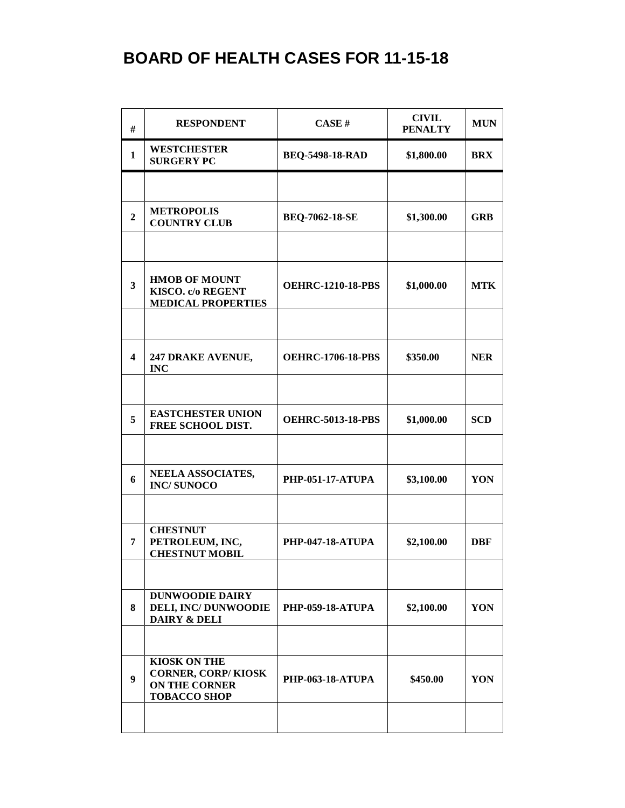| #                       | <b>RESPONDENT</b>                                                                               | CASE#                    | <b>CIVIL</b><br><b>PENALTY</b> | <b>MUN</b> |
|-------------------------|-------------------------------------------------------------------------------------------------|--------------------------|--------------------------------|------------|
| $\mathbf{1}$            | <b>WESTCHESTER</b><br><b>SURGERY PC</b>                                                         | <b>BEQ-5498-18-RAD</b>   | \$1,800.00                     | <b>BRX</b> |
|                         |                                                                                                 |                          |                                |            |
| $\overline{2}$          | <b>METROPOLIS</b><br><b>COUNTRY CLUB</b>                                                        | <b>BEQ-7062-18-SE</b>    | \$1,300.00                     | <b>GRB</b> |
|                         |                                                                                                 |                          |                                |            |
| $\overline{\mathbf{3}}$ | <b>HMOB OF MOUNT</b><br>KISCO. c/o REGENT<br><b>MEDICAL PROPERTIES</b>                          | <b>OEHRC-1210-18-PBS</b> | \$1,000.00                     | <b>MTK</b> |
|                         |                                                                                                 |                          |                                |            |
| 4                       | 247 DRAKE AVENUE,<br><b>INC</b>                                                                 | <b>OEHRC-1706-18-PBS</b> | \$350.00                       | <b>NER</b> |
|                         |                                                                                                 |                          |                                |            |
| 5                       | <b>EASTCHESTER UNION</b><br>FREE SCHOOL DIST.                                                   | <b>OEHRC-5013-18-PBS</b> | \$1,000.00                     | <b>SCD</b> |
|                         |                                                                                                 |                          |                                |            |
| 6                       | NEELA ASSOCIATES,<br><b>INC/SUNOCO</b>                                                          | <b>PHP-051-17-ATUPA</b>  | \$3,100.00                     | YON        |
|                         |                                                                                                 |                          |                                |            |
| 7                       | <b>CHESTNUT</b><br>PETROLEUM, INC,<br><b>CHESTNUT MOBIL</b>                                     | <b>PHP-047-18-ATUPA</b>  | \$2,100.00                     | <b>DBF</b> |
|                         |                                                                                                 |                          |                                |            |
| 8                       | <b>DUNWOODIE DAIRY</b><br><b>DELI, INC/DUNWOODIE</b><br><b>DAIRY &amp; DELI</b>                 | <b>PHP-059-18-ATUPA</b>  | \$2,100.00                     | YON        |
|                         |                                                                                                 |                          |                                |            |
| 9                       | <b>KIOSK ON THE</b><br><b>CORNER, CORP/KIOSK</b><br><b>ON THE CORNER</b><br><b>TOBACCO SHOP</b> | <b>PHP-063-18-ATUPA</b>  | \$450.00                       | YON        |
|                         |                                                                                                 |                          |                                |            |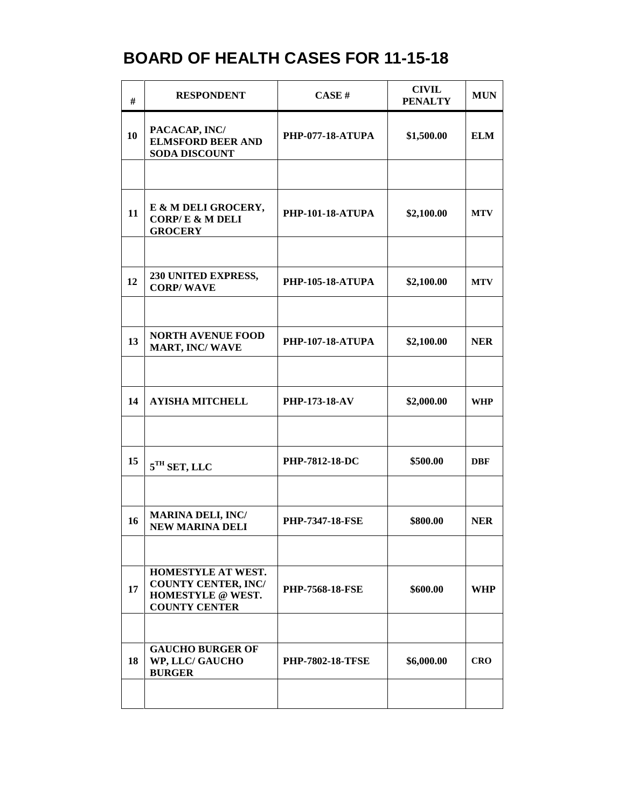| #  | <b>RESPONDENT</b>                                                                             | CASE#                   | <b>CIVIL</b><br><b>PENALTY</b> | <b>MUN</b> |
|----|-----------------------------------------------------------------------------------------------|-------------------------|--------------------------------|------------|
| 10 | PACACAP, INC/<br><b>ELMSFORD BEER AND</b><br><b>SODA DISCOUNT</b>                             | <b>PHP-077-18-ATUPA</b> | \$1,500.00                     | <b>ELM</b> |
|    |                                                                                               |                         |                                |            |
| 11 | E & M DELI GROCERY,<br><b>CORP/E &amp; M DELI</b><br><b>GROCERY</b>                           | <b>PHP-101-18-ATUPA</b> | \$2,100.00                     | <b>MTV</b> |
|    |                                                                                               |                         |                                |            |
| 12 | 230 UNITED EXPRESS,<br><b>CORP/WAVE</b>                                                       | <b>PHP-105-18-ATUPA</b> | \$2,100.00                     | <b>MTV</b> |
|    |                                                                                               |                         |                                |            |
| 13 | <b>NORTH AVENUE FOOD</b><br><b>MART, INC/WAVE</b>                                             | <b>PHP-107-18-ATUPA</b> | \$2,100.00                     | <b>NER</b> |
|    |                                                                                               |                         |                                |            |
| 14 | <b>AYISHA MITCHELL</b>                                                                        | <b>PHP-173-18-AV</b>    | \$2,000.00                     | WHP        |
|    |                                                                                               |                         |                                |            |
| 15 | $5TH$ SET, LLC                                                                                | <b>PHP-7812-18-DC</b>   | \$500.00                       | <b>DBF</b> |
|    |                                                                                               |                         |                                |            |
| 16 | <b>MARINA DELI, INC/</b><br><b>NEW MARINA DELI</b>                                            | <b>PHP-7347-18-FSE</b>  | \$800.00                       | <b>NER</b> |
|    |                                                                                               |                         |                                |            |
| 17 | HOMESTYLE AT WEST.<br><b>COUNTY CENTER, INC/</b><br>HOMESTYLE @ WEST.<br><b>COUNTY CENTER</b> | <b>PHP-7568-18-FSE</b>  | \$600.00                       | <b>WHP</b> |
|    |                                                                                               |                         |                                |            |
| 18 | <b>GAUCHO BURGER OF</b><br>WP, LLC/ GAUCHO<br><b>BURGER</b>                                   | <b>PHP-7802-18-TFSE</b> | \$6,000.00                     | <b>CRO</b> |
|    |                                                                                               |                         |                                |            |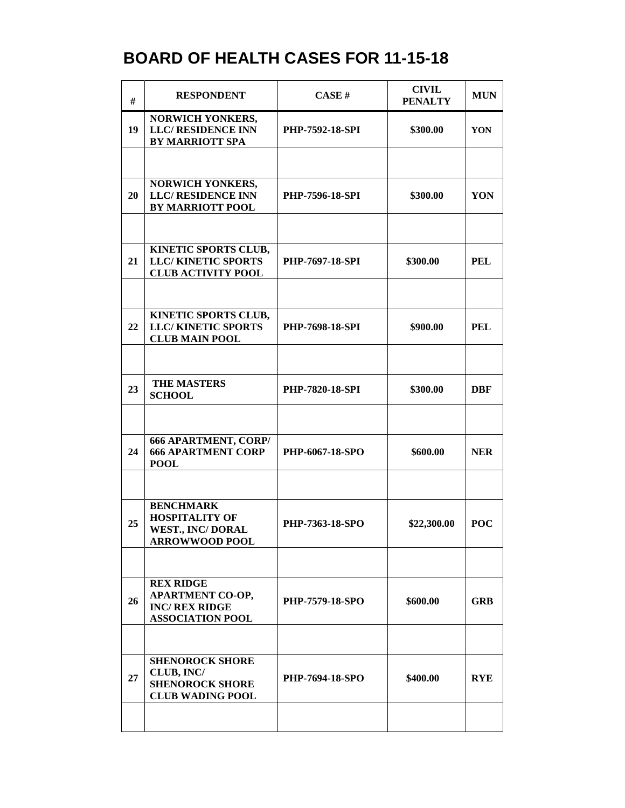| $\#$ | <b>RESPONDENT</b>                                                                               | <b>CASE#</b>           | <b>CIVIL</b><br><b>PENALTY</b> | <b>MUN</b> |
|------|-------------------------------------------------------------------------------------------------|------------------------|--------------------------------|------------|
| 19   | NORWICH YONKERS,<br><b>LLC/RESIDENCE INN</b><br><b>BY MARRIOTT SPA</b>                          | <b>PHP-7592-18-SPI</b> | \$300.00                       | YON        |
|      |                                                                                                 |                        |                                |            |
| 20   | NORWICH YONKERS,<br><b>LLC/ RESIDENCE INN</b><br><b>BY MARRIOTT POOL</b>                        | <b>PHP-7596-18-SPI</b> | \$300.00                       | YON        |
|      |                                                                                                 |                        |                                |            |
| 21   | KINETIC SPORTS CLUB,<br><b>LLC/KINETIC SPORTS</b><br><b>CLUB ACTIVITY POOL</b>                  | <b>PHP-7697-18-SPI</b> | \$300.00                       | PEL        |
|      |                                                                                                 |                        |                                |            |
| 22   | KINETIC SPORTS CLUB,<br><b>LLC/KINETIC SPORTS</b><br><b>CLUB MAIN POOL</b>                      | PHP-7698-18-SPI        | \$900.00                       | <b>PEL</b> |
|      |                                                                                                 |                        |                                |            |
| 23   | <b>THE MASTERS</b><br><b>SCHOOL</b>                                                             | <b>PHP-7820-18-SPI</b> | \$300.00                       | <b>DBF</b> |
|      |                                                                                                 |                        |                                |            |
| 24   | <b>666 APARTMENT, CORP/</b><br><b>666 APARTMENT CORP</b><br><b>POOL</b>                         | PHP-6067-18-SPO        | \$600.00                       | <b>NER</b> |
|      |                                                                                                 |                        |                                |            |
| 25   | <b>BENCHMARK</b><br><b>HOSPITALITY OF</b><br><b>WEST., INC/DORAL</b><br>ARROWWOOD POOL          | PHP-7363-18-SPO        | \$22,300.00                    | <b>POC</b> |
|      |                                                                                                 |                        |                                |            |
| 26   | <b>REX RIDGE</b><br><b>APARTMENT CO-OP,</b><br><b>INC/ REX RIDGE</b><br><b>ASSOCIATION POOL</b> | <b>PHP-7579-18-SPO</b> | \$600.00                       | <b>GRB</b> |
|      |                                                                                                 |                        |                                |            |
| 27   | <b>SHENOROCK SHORE</b><br>CLUB, INC/<br><b>SHENOROCK SHORE</b><br><b>CLUB WADING POOL</b>       | PHP-7694-18-SPO        | \$400.00                       | <b>RYE</b> |
|      |                                                                                                 |                        |                                |            |